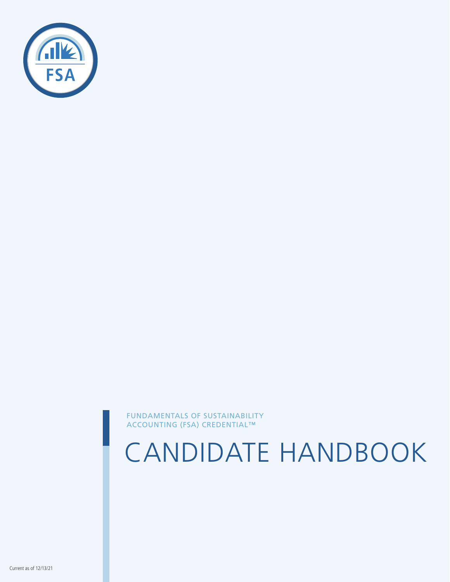

FUNDAMENTALS OF SUSTAINABILITY ACCOUNTING (FSA) CREDENTIAL™

CANDIDATE HANDBOOK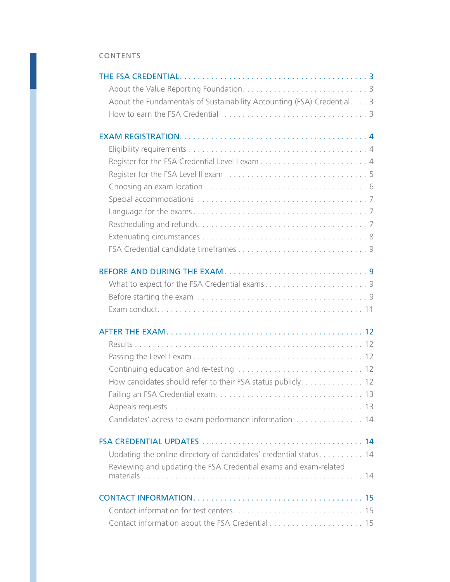### CONTENTS

| About the Fundamentals of Sustainability Accounting (FSA) Credential 3 |  |
|------------------------------------------------------------------------|--|
|                                                                        |  |
|                                                                        |  |
|                                                                        |  |
|                                                                        |  |
|                                                                        |  |
|                                                                        |  |
|                                                                        |  |
|                                                                        |  |
|                                                                        |  |
|                                                                        |  |
|                                                                        |  |
|                                                                        |  |
|                                                                        |  |
|                                                                        |  |
|                                                                        |  |
|                                                                        |  |
|                                                                        |  |
|                                                                        |  |
|                                                                        |  |
|                                                                        |  |
|                                                                        |  |
|                                                                        |  |
|                                                                        |  |
|                                                                        |  |
| How candidates should refer to their FSA status publicly. 12           |  |
|                                                                        |  |
|                                                                        |  |
| Candidates' access to exam performance information  14                 |  |
|                                                                        |  |
|                                                                        |  |
| Updating the online directory of candidates' credential status. 14     |  |
| Reviewing and updating the FSA Credential exams and exam-related       |  |
|                                                                        |  |
|                                                                        |  |
|                                                                        |  |
|                                                                        |  |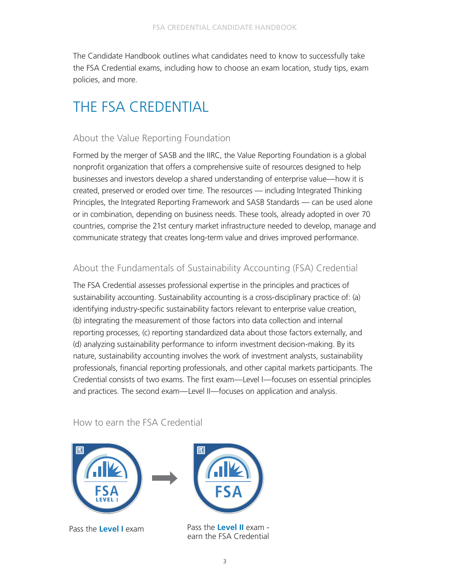<span id="page-2-0"></span>The Candidate Handbook outlines what candidates need to know to successfully take the FSA Credential exams, including how to choose an exam location, study tips, exam policies, and more.

# THE FSA CREDENTIAL

# About the Value Reporting Foundation

Formed by the merger of SASB and the IIRC, the Value Reporting Foundation is a global nonprofit organization that offers a comprehensive suite of resources designed to help businesses and investors develop a shared understanding of enterprise value—how it is created, preserved or eroded over time. The resources — including Integrated Thinking Principles, the Integrated Reporting Framework and SASB Standards — can be used alone or in combination, depending on business needs. These tools, already adopted in over 70 countries, comprise the 21st century market infrastructure needed to develop, manage and communicate strategy that creates long-term value and drives improved performance.

# About the Fundamentals of Sustainability Accounting (FSA) Credential

The FSA Credential assesses professional expertise in the principles and practices of sustainability accounting. Sustainability accounting is a cross-disciplinary practice of: (a) identifying industry-specific sustainability factors relevant to enterprise value creation, (b) integrating the measurement of those factors into data collection and internal reporting processes, (c) reporting standardized data about those factors externally, and (d) analyzing sustainability performance to inform investment decision-making. By its nature, sustainability accounting involves the work of investment analysts, sustainability professionals, financial reporting professionals, and other capital markets participants. The Credential consists of two exams. The first exam—Level I—focuses on essential principles and practices. The second exam—Level II—focuses on application and analysis.

How to earn the FSA Credential





Pass the **Level I** exam Pass the Level II exam earn the FSA Credential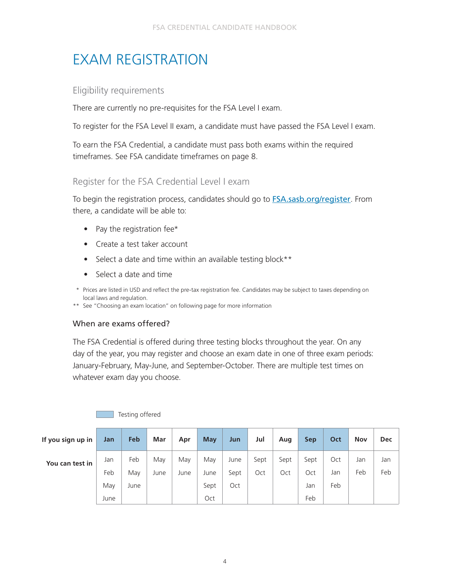# <span id="page-3-0"></span>EXAM REGISTRATION

## Eligibility requirements

There are currently no pre-requisites for the FSA Level I exam.

To register for the FSA Level II exam, a candidate must have passed the FSA Level I exam.

To earn the FSA Credential, a candidate must pass both exams within the required timeframes. See FSA candidate timeframes on page 8.

# Register for the FSA Credential Level I exam

To begin the registration process, candidates should go to **[FSA.sasb.org/register](http://FSA.sasb.org/register)**. From there, a candidate will be able to:

- Pay the registration fee\*
- Create a test taker account
- Select a date and time within an available testing block\*\*
- Select a date and time
- \* Prices are listed in USD and reflect the pre-tax registration fee. Candidates may be subject to taxes depending on local laws and regulation.
- \*\* See "Choosing an exam location" on following page for more information

### When are exams offered?

The FSA Credential is offered during three testing blocks throughout the year. On any day of the year, you may register and choose an exam date in one of three exam periods: January-February, May-June, and September-October. There are multiple test times on whatever exam day you choose.

| If you sign up in | Jan        | Feb        | Mar         | Apr         | <b>May</b>  | Jun          | Jul         | Aug         | <b>Sep</b>  | Oct        | <b>Nov</b> | <b>Dec</b> |
|-------------------|------------|------------|-------------|-------------|-------------|--------------|-------------|-------------|-------------|------------|------------|------------|
| You can test in   | Jan<br>Feb | Feb<br>May | May<br>June | May<br>June | May<br>June | June<br>Sept | Sept<br>Oct | Sept<br>Oct | Sept<br>Oct | Oct<br>Jan | Jan<br>Feb | Jan<br>Feb |
|                   | May        | June       |             |             | Sept        | Oct          |             |             | Jan         | Feb        |            |            |
|                   | June       |            |             |             | Oct         |              |             |             | Feb         |            |            |            |

Testing offered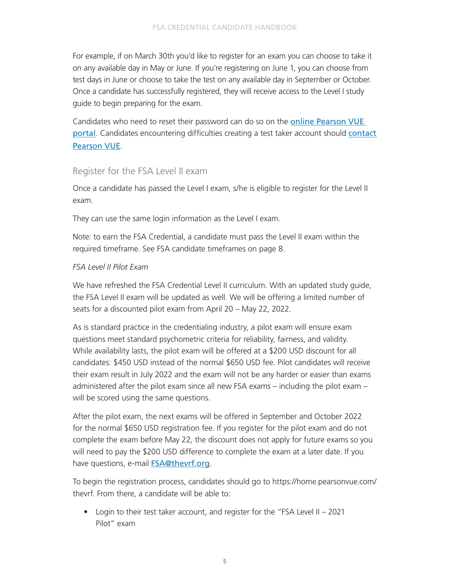<span id="page-4-0"></span>For example, if on March 30th you'd like to register for an exam you can choose to take it on any available day in May or June. If you're registering on June 1, you can choose from test days in June or choose to take the test on any available day in September or October. Once a candidate has successfully registered, they will receive access to the Level I study guide to begin preparing for the exam.

Candidates who need to reset their password can do so on the [online Pearson VUE](https://home.pearsonvue.com/thevrf)  [portal](https://home.pearsonvue.com/thevrf). Candidates encountering difficulties creating a test taker account should contact [Pearson VUE](https://home.pearsonvue.com/vrf/contact).

### Register for the FSA Level II exam

Once a candidate has passed the Level I exam, s/he is eligible to register for the Level II exam.

They can use the same login information as the Level I exam.

Note: to earn the FSA Credential, a candidate must pass the Level II exam within the required timeframe. See FSA candidate timeframes on page 8.

#### *FSA Level II Pilot Exam*

We have refreshed the FSA Credential Level II curriculum. With an updated study guide, the FSA Level II exam will be updated as well. We will be offering a limited number of seats for a discounted pilot exam from April 20 – May 22, 2022.

As is standard practice in the credentialing industry, a pilot exam will ensure exam questions meet standard psychometric criteria for reliability, fairness, and validity. While availability lasts, the pilot exam will be offered at a \$200 USD discount for all candidates: \$450 USD instead of the normal \$650 USD fee. Pilot candidates will receive their exam result in July 2022 and the exam will not be any harder or easier than exams administered after the pilot exam since all new FSA exams – including the pilot exam – will be scored using the same questions.

After the pilot exam, the next exams will be offered in September and October 2022 for the normal \$650 USD registration fee. If you register for the pilot exam and do not complete the exam before May 22, the discount does not apply for future exams so you will need to pay the \$200 USD difference to complete the exam at a later date. If you have questions, e-mail **[FSA@thevrf.org](mailto:FSA%40thevrf.org?subject=)**.

To begin the registration process, candidates should go to https://home.pearsonvue.com/ thevrf. From there, a candidate will be able to:

• Login to their test taker account, and register for the "FSA Level II – 2021 Pilot" exam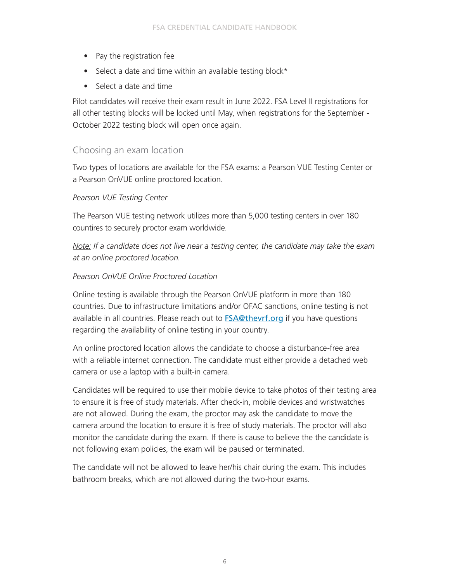- <span id="page-5-0"></span>• Pay the registration fee
- Select a date and time within an available testing block\*
- Select a date and time

Pilot candidates will receive their exam result in June 2022. FSA Level II registrations for all other testing blocks will be locked until May, when registrations for the September - October 2022 testing block will open once again.

### Choosing an exam location

Two types of locations are available for the FSA exams: a Pearson VUE Testing Center or a Pearson OnVUE online proctored location.

#### *Pearson VUE Testing Center*

The Pearson VUE testing network utilizes more than 5,000 testing centers in over 180 countires to securely proctor exam worldwide.

*Note: If a candidate does not live near a testing center, the candidate may take the exam at an online proctored location.* 

#### *Pearson OnVUE Online Proctored Location*

Online testing is available through the Pearson OnVUE platform in more than 180 countries. Due to infrastructure limitations and/or OFAC sanctions, online testing is not available in all countries. Please reach out to **[FSA@thevrf.org](mailto:FSA%40thevrf.org?subject=)** if you have questions regarding the availability of online testing in your country.

An online proctored location allows the candidate to choose a disturbance-free area with a reliable internet connection. The candidate must either provide a detached web camera or use a laptop with a built-in camera.

Candidates will be required to use their mobile device to take photos of their testing area to ensure it is free of study materials. After check-in, mobile devices and wristwatches are not allowed. During the exam, the proctor may ask the candidate to move the camera around the location to ensure it is free of study materials. The proctor will also monitor the candidate during the exam. If there is cause to believe the the candidate is not following exam policies, the exam will be paused or terminated.

The candidate will not be allowed to leave her/his chair during the exam. This includes bathroom breaks, which are not allowed during the two-hour exams.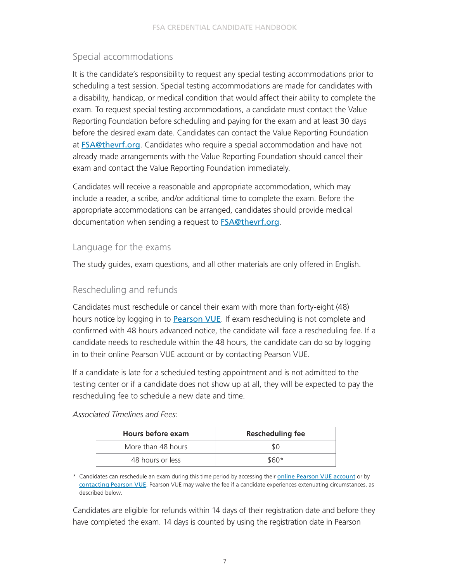# <span id="page-6-0"></span>Special accommodations

It is the candidate's responsibility to request any special testing accommodations prior to scheduling a test session. Special testing accommodations are made for candidates with a disability, handicap, or medical condition that would affect their ability to complete the exam. To request special testing accommodations, a candidate must contact the Value Reporting Foundation before scheduling and paying for the exam and at least 30 days before the desired exam date. Candidates can contact the Value Reporting Foundation at [FSA@thevrf.org](mailto:FSA%40thevrf.org?subject=). Candidates who require a special accommodation and have not already made arrangements with the Value Reporting Foundation should cancel their exam and contact the Value Reporting Foundation immediately.

Candidates will receive a reasonable and appropriate accommodation, which may include a reader, a scribe, and/or additional time to complete the exam. Before the appropriate accommodations can be arranged, candidates should provide medical documentation when sending a request to **[FSA@thevrf.org](mailto:FSA%40thevrf.org?subject=)**.

## Language for the exams

The study guides, exam questions, and all other materials are only offered in English.

## Rescheduling and refunds

Candidates must reschedule or cancel their exam with more than forty-eight (48) hours notice by logging in to **[Pearson VUE](https://home.pearsonvue.com/thevrf)**. If exam rescheduling is not complete and confirmed with 48 hours advanced notice, the candidate will face a rescheduling fee. If a candidate needs to reschedule within the 48 hours, the candidate can do so by logging in to their online Pearson VUE account or by contacting Pearson VUE.

If a candidate is late for a scheduled testing appointment and is not admitted to the testing center or if a candidate does not show up at all, they will be expected to pay the rescheduling fee to schedule a new date and time.

| Hours before exam  | <b>Rescheduling fee</b> |
|--------------------|-------------------------|
| More than 48 hours |                         |

#### *Associated Timelines and Fees:*

\* Candidates can reschedule an exam during this time period by accessing their [online Pearson VUE account](https://home.pearsonvue.com/thevrf) or by [contacting Pearson VUE](https://home.pearsonvue.com/vrf/contact). Pearson VUE may waive the fee if a candidate experiences extenuating circumstances, as described below.

48 hours or less  $$60*$ 

Candidates are eligible for refunds within 14 days of their registration date and before they have completed the exam. 14 days is counted by using the registration date in Pearson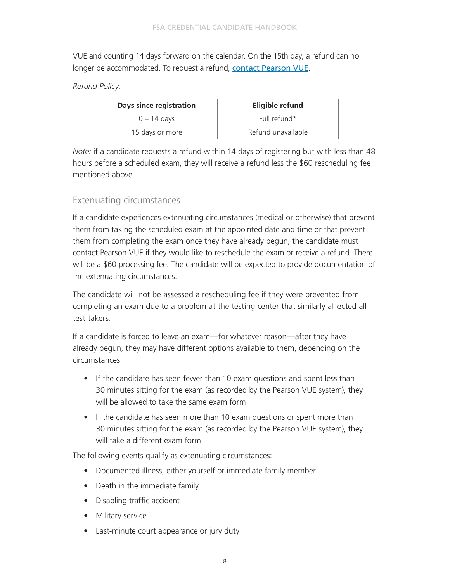<span id="page-7-0"></span>VUE and counting 14 days forward on the calendar. On the 15th day, a refund can no longer be accommodated. To request a refund, [contact Pearson VUE](https://home.pearsonvue.com/vrf/contact).

### *Refund Policy:*

| Days since registration | Eligible refund    |  |  |  |
|-------------------------|--------------------|--|--|--|
| $0 - 14$ days           | Full refund*       |  |  |  |
| 15 days or more         | Refund unavailable |  |  |  |

*Note:* if a candidate requests a refund within 14 days of registering but with less than 48 hours before a scheduled exam, they will receive a refund less the \$60 rescheduling fee mentioned above.

## Extenuating circumstances

If a candidate experiences extenuating circumstances (medical or otherwise) that prevent them from taking the scheduled exam at the appointed date and time or that prevent them from completing the exam once they have already begun, the candidate must contact Pearson VUE if they would like to reschedule the exam or receive a refund. There will be a \$60 processing fee. The candidate will be expected to provide documentation of the extenuating circumstances.

The candidate will not be assessed a rescheduling fee if they were prevented from completing an exam due to a problem at the testing center that similarly affected all test takers.

If a candidate is forced to leave an exam—for whatever reason—after they have already begun, they may have different options available to them, depending on the circumstances:

- If the candidate has seen fewer than 10 exam questions and spent less than 30 minutes sitting for the exam (as recorded by the Pearson VUE system), they will be allowed to take the same exam form
- If the candidate has seen more than 10 exam questions or spent more than 30 minutes sitting for the exam (as recorded by the Pearson VUE system), they will take a different exam form

The following events qualify as extenuating circumstances:

- Documented illness, either yourself or immediate family member
- Death in the immediate family
- Disabling traffic accident
- Military service
- Last-minute court appearance or jury duty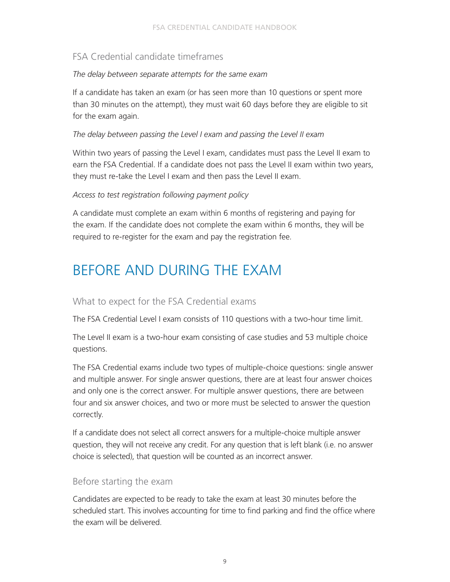# <span id="page-8-0"></span>FSA Credential candidate timeframes

### *The delay between separate attempts for the same exam*

If a candidate has taken an exam (or has seen more than 10 questions or spent more than 30 minutes on the attempt), they must wait 60 days before they are eligible to sit for the exam again.

### *The delay between passing the Level I exam and passing the Level II exam*

Within two years of passing the Level I exam, candidates must pass the Level II exam to earn the FSA Credential. If a candidate does not pass the Level II exam within two years, they must re-take the Level I exam and then pass the Level II exam.

#### *Access to test registration following payment policy*

A candidate must complete an exam within 6 months of registering and paying for the exam. If the candidate does not complete the exam within 6 months, they will be required to re-register for the exam and pay the registration fee.

# BEFORE AND DURING THE EXAM

## What to expect for the FSA Credential exams

The FSA Credential Level I exam consists of 110 questions with a two-hour time limit.

The Level II exam is a two-hour exam consisting of case studies and 53 multiple choice questions.

The FSA Credential exams include two types of multiple-choice questions: single answer and multiple answer. For single answer questions, there are at least four answer choices and only one is the correct answer. For multiple answer questions, there are between four and six answer choices, and two or more must be selected to answer the question correctly.

If a candidate does not select all correct answers for a multiple-choice multiple answer question, they will not receive any credit. For any question that is left blank (i.e. no answer choice is selected), that question will be counted as an incorrect answer.

## Before starting the exam

Candidates are expected to be ready to take the exam at least 30 minutes before the scheduled start. This involves accounting for time to find parking and find the office where the exam will be delivered.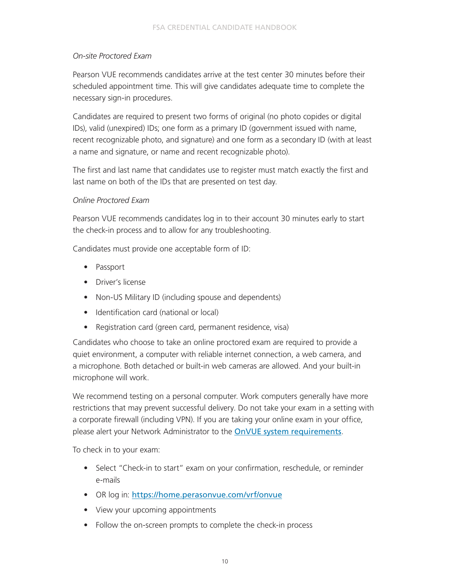### *On-site Proctored Exam*

Pearson VUE recommends candidates arrive at the test center 30 minutes before their scheduled appointment time. This will give candidates adequate time to complete the necessary sign-in procedures.

Candidates are required to present two forms of original (no photo copides or digital IDs), valid (unexpired) IDs; one form as a primary ID (government issued with name, recent recognizable photo, and signature) and one form as a secondary ID (with at least a name and signature, or name and recent recognizable photo).

The first and last name that candidates use to register must match exactly the first and last name on both of the IDs that are presented on test day.

#### *Online Proctored Exam*

Pearson VUE recommends candidates log in to their account 30 minutes early to start the check-in process and to allow for any troubleshooting.

Candidates must provide one acceptable form of ID:

- Passport
- Driver's license
- Non-US Military ID (including spouse and dependents)
- Identification card (national or local)
- Registration card (green card, permanent residence, visa)

Candidates who choose to take an online proctored exam are required to provide a quiet environment, a computer with reliable internet connection, a web camera, and a microphone. Both detached or built-in web cameras are allowed. And your built-in microphone will work.

We recommend testing on a personal computer. Work computers generally have more restrictions that may prevent successful delivery. Do not take your exam in a setting with a corporate firewall (including VPN). If you are taking your online exam in your office, please alert your Network Administrator to the **[OnVUE system requirements](https://home.pearsonvue.com/onvue/system-requirements)**.

To check in to your exam:

- Select "Check-in to start" exam on your confirmation, reschedule, or reminder e-mails
- OR log in: <https://home.perasonvue.com/vrf/onvue>
- View your upcoming appointments
- Follow the on-screen prompts to complete the check-in process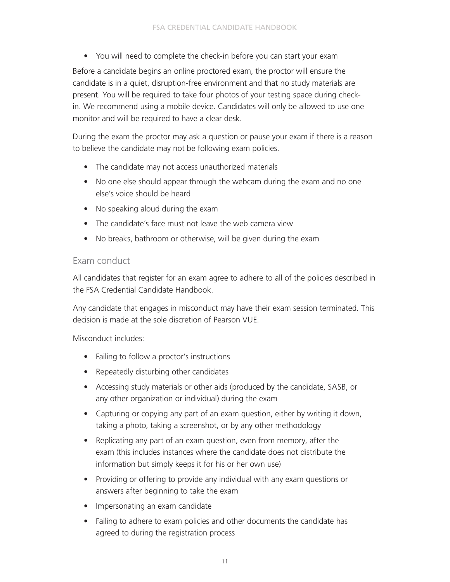• You will need to complete the check-in before you can start your exam

<span id="page-10-0"></span>Before a candidate begins an online proctored exam, the proctor will ensure the candidate is in a quiet, disruption-free environment and that no study materials are present. You will be required to take four photos of your testing space during checkin. We recommend using a mobile device. Candidates will only be allowed to use one monitor and will be required to have a clear desk.

During the exam the proctor may ask a question or pause your exam if there is a reason to believe the candidate may not be following exam policies.

- The candidate may not access unauthorized materials
- No one else should appear through the webcam during the exam and no one else's voice should be heard
- No speaking aloud during the exam
- The candidate's face must not leave the web camera view
- No breaks, bathroom or otherwise, will be given during the exam

### Exam conduct

All candidates that register for an exam agree to adhere to all of the policies described in the FSA Credential Candidate Handbook.

Any candidate that engages in misconduct may have their exam session terminated. This decision is made at the sole discretion of Pearson VUE.

Misconduct includes:

- Failing to follow a proctor's instructions
- Repeatedly disturbing other candidates
- Accessing study materials or other aids (produced by the candidate, SASB, or any other organization or individual) during the exam
- Capturing or copying any part of an exam question, either by writing it down, taking a photo, taking a screenshot, or by any other methodology
- Replicating any part of an exam question, even from memory, after the exam (this includes instances where the candidate does not distribute the information but simply keeps it for his or her own use)
- Providing or offering to provide any individual with any exam questions or answers after beginning to take the exam
- Impersonating an exam candidate
- Failing to adhere to exam policies and other documents the candidate has agreed to during the registration process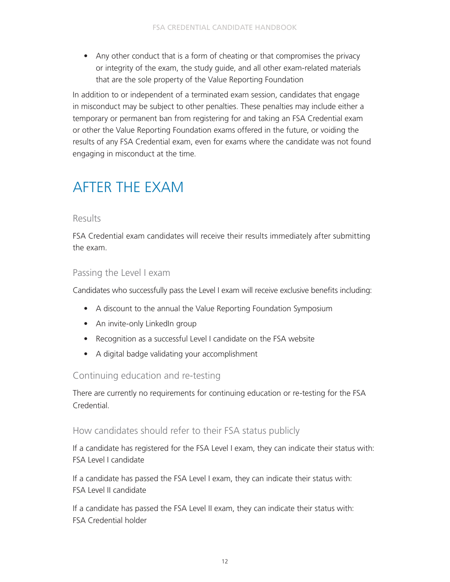<span id="page-11-0"></span>• Any other conduct that is a form of cheating or that compromises the privacy or integrity of the exam, the study guide, and all other exam-related materials that are the sole property of the Value Reporting Foundation

In addition to or independent of a terminated exam session, candidates that engage in misconduct may be subject to other penalties. These penalties may include either a temporary or permanent ban from registering for and taking an FSA Credential exam or other the Value Reporting Foundation exams offered in the future, or voiding the results of any FSA Credential exam, even for exams where the candidate was not found engaging in misconduct at the time.

# AFTER THE EXAM

### Results

FSA Credential exam candidates will receive their results immediately after submitting the exam.

## Passing the Level I exam

Candidates who successfully pass the Level I exam will receive exclusive benefits including:

- A discount to the annual the Value Reporting Foundation Symposium
- An invite-only LinkedIn group
- Recognition as a successful Level I candidate on the FSA website
- A digital badge validating your accomplishment

## Continuing education and re-testing

There are currently no requirements for continuing education or re-testing for the FSA Credential.

## How candidates should refer to their FSA status publicly

If a candidate has registered for the FSA Level I exam, they can indicate their status with: FSA Level I candidate

If a candidate has passed the FSA Level I exam, they can indicate their status with: FSA Level II candidate

If a candidate has passed the FSA Level II exam, they can indicate their status with: FSA Credential holder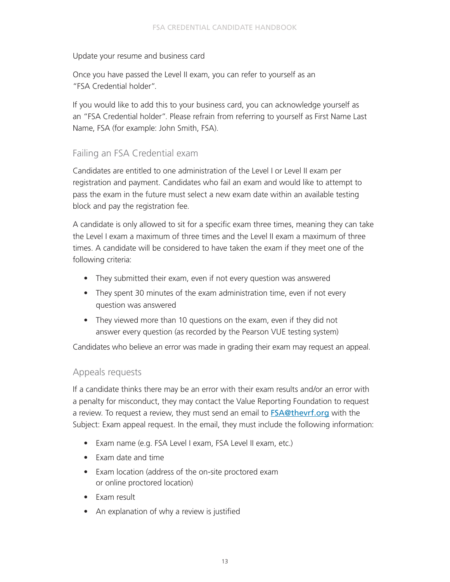### <span id="page-12-0"></span>Update your resume and business card

Once you have passed the Level II exam, you can refer to yourself as an "FSA Credential holder".

If you would like to add this to your business card, you can acknowledge yourself as an "FSA Credential holder". Please refrain from referring to yourself as First Name Last Name, FSA (for example: John Smith, FSA).

## Failing an FSA Credential exam

Candidates are entitled to one administration of the Level I or Level II exam per registration and payment. Candidates who fail an exam and would like to attempt to pass the exam in the future must select a new exam date within an available testing block and pay the registration fee.

A candidate is only allowed to sit for a specific exam three times, meaning they can take the Level I exam a maximum of three times and the Level II exam a maximum of three times. A candidate will be considered to have taken the exam if they meet one of the following criteria:

- They submitted their exam, even if not every question was answered
- They spent 30 minutes of the exam administration time, even if not every question was answered
- They viewed more than 10 questions on the exam, even if they did not answer every question (as recorded by the Pearson VUE testing system)

Candidates who believe an error was made in grading their exam may request an appeal.

## Appeals requests

If a candidate thinks there may be an error with their exam results and/or an error with a penalty for misconduct, they may contact the Value Reporting Foundation to request a review. To request a review, they must send an email to [FSA@thevrf.org](mailto:FSA%40thevrf.org?subject=) with the Subject: Exam appeal request. In the email, they must include the following information:

- Exam name (e.g. FSA Level I exam, FSA Level II exam, etc.)
- Exam date and time
- Exam location (address of the on-site proctored exam or online proctored location)
- Exam result
- An explanation of why a review is justified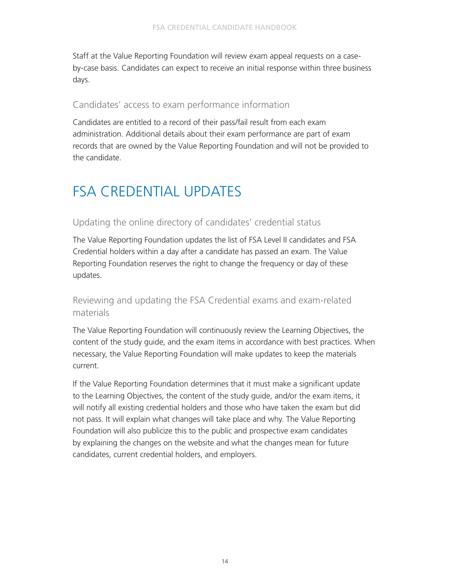<span id="page-13-0"></span>Staff at the Value Reporting Foundation will review exam appeal requests on a caseby-case basis. Candidates can expect to receive an initial response within three business days.

## Candidates' access to exam performance information

Candidates are entitled to a record of their pass/fail result from each exam administration. Additional details about their exam performance are part of exam records that are owned by the Value Reporting Foundation and will not be provided to the candidate.

# FSA CREDENTIAL UPDATES

# Updating the online directory of candidates' credential status

The Value Reporting Foundation updates the list of FSA Level II candidates and FSA Credential holders within a day after a candidate has passed an exam. The Value Reporting Foundation reserves the right to change the frequency or day of these updates.

# Reviewing and updating the FSA Credential exams and exam-related materials

The Value Reporting Foundation will continuously review the Learning Objectives, the content of the study guide, and the exam items in accordance with best practices. When necessary, the Value Reporting Foundation will make updates to keep the materials current.

If the Value Reporting Foundation determines that it must make a significant update to the Learning Objectives, the content of the study guide, and/or the exam items, it will notify all existing credential holders and those who have taken the exam but did not pass. It will explain what changes will take place and why. The Value Reporting Foundation will also publicize this to the public and prospective exam candidates by explaining the changes on the website and what the changes mean for future candidates, current credential holders, and employers.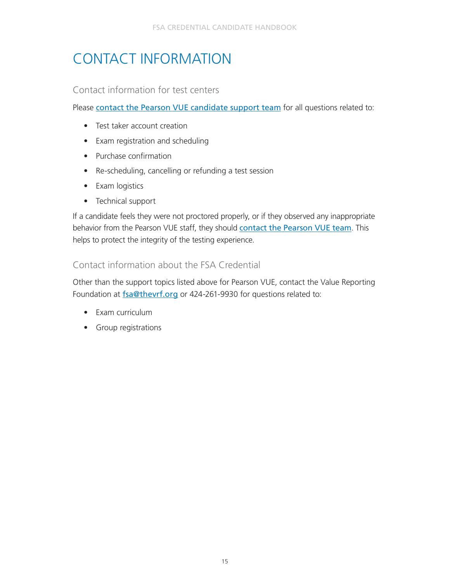# <span id="page-14-0"></span>CONTACT INFORMATION

## Contact information for test centers

Please [contact the Pearson VUE candidate support team](https://home.pearsonvue.com/vrf/contact) for all questions related to:

- Test taker account creation
- Exam registration and scheduling
- Purchase confirmation
- Re-scheduling, cancelling or refunding a test session
- Exam logistics
- Technical support

If a candidate feels they were not proctored properly, or if they observed any inappropriate behavior from the Pearson VUE staff, they should [contact the Pearson VUE team](https://home.pearsonvue.com/vrf/contact). This helps to protect the integrity of the testing experience.

# Contact information about the FSA Credential

Other than the support topics listed above for Pearson VUE, contact the Value Reporting Foundation at **[fsa@thevrf.org](mailto:fsa%40thevrf.org?subject=)** or 424-261-9930 for questions related to:

- Exam curriculum
- Group registrations